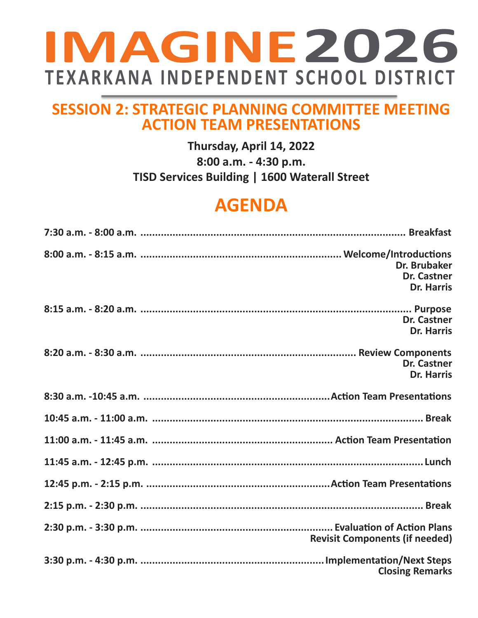# **IMAGINE2026 TEXARKANA INDEPENDENT SCHOOL DISTRICT**

### **SESSION 2: STRATEGIC PLANNING COMMITTEE MEETING ACTION TEAM PRESENTATIONS**

#### **Thursday, April 14, 2022 8:00 a.m. - 4:30 p.m. TISD Services Building | 1600 Waterall Street**

## **AGENDA**

| Dr. Brubaker<br><b>Dr. Castner</b><br><b>Dr. Harris</b> |
|---------------------------------------------------------|
| <b>Dr. Castner</b><br><b>Dr. Harris</b>                 |
| <b>Dr. Castner</b><br><b>Dr. Harris</b>                 |
|                                                         |
|                                                         |
|                                                         |
|                                                         |
|                                                         |
|                                                         |
| <b>Revisit Components (if needed)</b>                   |
| <b>Closing Remarks</b>                                  |